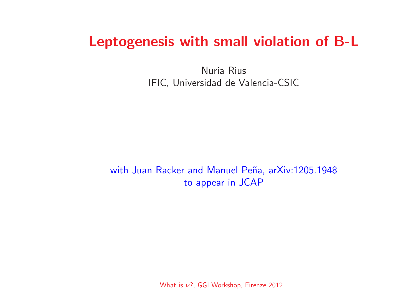# Leptogenesis with small violation of B-L

Nuria Rius IFIC, Universidad de Valencia-CSIC

with Juan Racker and Manuel Peña, arXiv:1205.1948 to appear in JCAP

What is  $\nu$ ?, GGI Workshop, Firenze 2012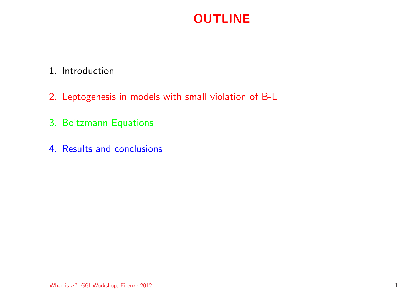## **OUTLINE**

## 1. Introduction

- 2. Leptogenesis in models with small violation of B-L
- 3. Boltzmann Equations
- 4. Results and conclusions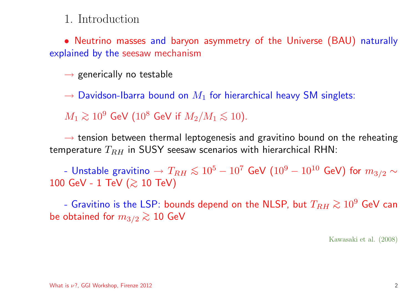## 1. Introduction

• Neutrino masses and baryon asymmetry of the Universe (BAU) naturally explained by the seesaw mechanism

 $\rightarrow$  generically no testable

 $\rightarrow$  Davidson-Ibarra bound on  $M_1$  for hierarchical heavy SM singlets:

 $M_1 \gtrsim 10^9$  GeV ( $10^8$  GeV if  $M_2/M_1 \lesssim 10$ ).

 $\rightarrow$  tension between thermal leptogenesis and gravitino bound on the reheating temperature  $T_{RH}$  in SUSY seesaw scenarios with hierarchical RHN:

- Unstable gravitino  $\rightarrow T_{RH}\lesssim 10^5-10^7$  GeV ( $10^9-10^{10}$  GeV) for  $m_{3/2}\sim$ 100 GeV - 1 TeV ( $\gtrsim$  10 TeV)

- Gravitino is the LSP: bounds depend on the NLSP, but  $T_{RH} \gtrsim 10^9$  GeV can be obtained for  $m_{3/2} \gtrsim 10$  GeV

Kawasaki et al. (2008)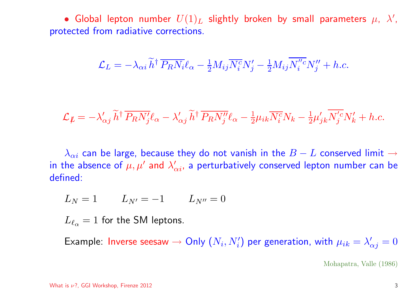• Global lepton number  $U(1)_L$  slightly broken by small parameters  $\mu$ ,  $\lambda'$ , protected from radiative corrections.

$$
\mathcal{L}_L = -\lambda_{\alpha i} \widetilde{h}^\dagger \, \overline{P_R N_i} \ell_\alpha - \frac{1}{2} M_{ij} \overline{N_i^c} N_j' - \frac{1}{2} M_{ij} \overline{N_i''^c} N_j'' + h.c.
$$

$$
\mathcal{L}_{\not L} = -\lambda'_{\alpha j} \widetilde{h}^{\dagger} \overline{P_R N'_j} \ell_{\alpha} - \lambda'_{\alpha j} \widetilde{h}^{\dagger} \overline{P_R N''_j} \ell_{\alpha} - \frac{1}{2} \mu_{ik} \overline{N_i^c} N_k - \frac{1}{2} \mu'_{jk} \overline{N'_j^c} N'_k + h.c.
$$

 $\lambda_{\alpha i}$  can be large, because they do not vanish in the  $B-L$  conserved limit  $\rightarrow$ in the absence of  $\mu, \mu'$  and  $\lambda'_{\alpha i}$ , a perturbatively conserved lepton number can be defined:

$$
L_N = 1 \qquad L_{N'} = -1 \qquad L_{N''} = 0
$$

 $L_{\ell_{\alpha}}=1$  for the SM leptons.

Example: Inverse seesaw  $\rightarrow$  Only  $(N_i, N'_i)$  per generation, with  $\mu_{ik} = \lambda'_{\alpha j} = 0$ 

Mohapatra, Valle (1986)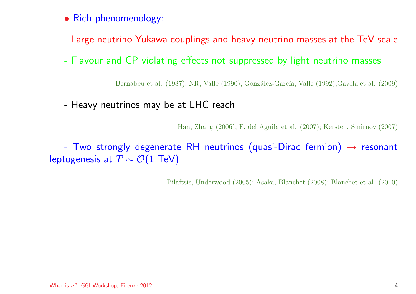- Rich phenomenology:
- Large neutrino Yukawa couplings and heavy neutrino masses at the TeV scale
- Flavour and CP violating effects not suppressed by light neutrino masses

Bernabeu et al. (1987); NR, Valle (1990); González-García, Valle (1992); Gavela et al. (2009)

- Heavy neutrinos may be at LHC reach

Han, Zhang (2006); F. del Aguila et al. (2007); Kersten, Smirnov (2007)

- Two strongly degenerate RH neutrinos (quasi-Dirac fermion)  $\rightarrow$  resonant leptogenesis at  $T \sim \mathcal{O}(1 \text{ TeV})$ 

Pilaftsis, Underwood (2005); Asaka, Blanchet (2008); Blanchet et al. (2010)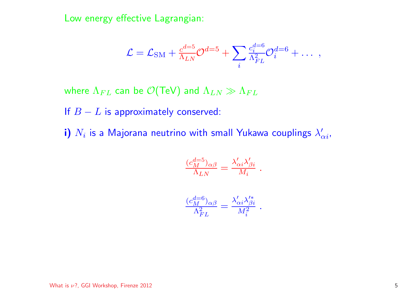Low energy effective Lagrangian:

$$
\mathcal{L} = \mathcal{L}_{\rm SM} + \frac{c^{d=5}}{\Lambda_{LN}} \mathcal{O}^{d=5} + \sum_i \frac{c_i^{d=6}}{\Lambda_{FL}^2} \mathcal{O}_i^{d=6} + \ldots ,
$$

where  $\Lambda_{FL}$  can be  $\mathcal{O}(\text{TeV})$  and  $\Lambda_{LN} \gg \Lambda_{FL}$ 

If  $B - L$  is approximately conserved:

i)  $N_i$  is a Majorana neutrino with small Yukawa couplings  $\lambda'_{\alpha i}$ ,

$$
\tfrac{(c_M^{d=5})_{\alpha\beta}}{\Lambda_{LN}}=\tfrac{\lambda'_{\alpha i}\lambda'_{\beta i}}{M_i}\;.
$$

$$
\frac{(c_M^{d=6})_{\alpha\beta}}{\Lambda_{FL}^2} = \frac{\lambda'_{\alpha i} \lambda'^*_{\beta i}}{M_i^2}.
$$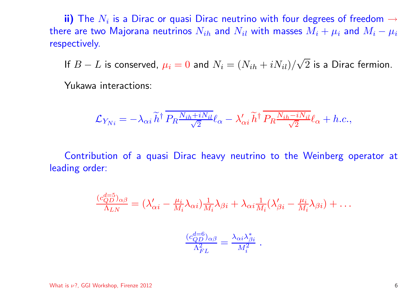ii) The  $N_i$  is a Dirac or quasi Dirac neutrino with four degrees of freedom  $\rightarrow$ there are two Majorana neutrinos  $N_{ih}$  and  $N_{il}$  with masses  $M_i+\mu_i$  and  $M_i-\mu_i$ respectively.

If  $B-L$  is conserved,  $\mu_i=0$  and  $N_i=(N_{ih}+iN_{il})/\sqrt{2}$  is a Dirac fermion.

Yukawa interactions:

$$
\mathcal{L}_{Y_{Ni}} = -\lambda_{\alpha i} \tilde{h}^{\dagger} \, \overline{P_R \frac{N_{ih} + i N_{il}}{\sqrt{2}}}\ell_{\alpha} - \lambda_{\alpha i}' \, \tilde{h}^{\dagger} \, \overline{P_R \frac{N_{ih} - i N_{il}}{\sqrt{2}}}\ell_{\alpha} + h.c.,
$$

Contribution of <sup>a</sup> quasi Dirac heavy neutrino to the Weinberg operator at leading order:

$$
\frac{(c_{QD}^{d=5})_{\alpha\beta}}{\Lambda_{LN}} = (\lambda'_{\alpha i} - \frac{\mu_i}{M_i} \lambda_{\alpha i}) \frac{1}{M_i} \lambda_{\beta i} + \lambda_{\alpha i} \frac{1}{M_i} (\lambda'_{\beta i} - \frac{\mu_i}{M_i} \lambda_{\beta i}) + \dots
$$

$$
\frac{(c_{QD}^{d=6})_{\alpha\beta}}{\Lambda_{FL}^2} = \frac{\lambda_{\alpha i} \lambda_{\beta i}^*}{M_i^2}.
$$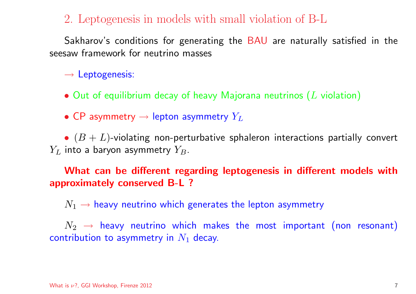2. Leptogenesis in models with small violation of B-L

Sakharov's conditions for generating the BAU are naturally satisfied in the seesaw framework for neutrino masses

 $\rightarrow$  Leptogenesis:

- $\bullet$  Out of equilibrium decay of heavy Majorana neutrinos  $(L$  violation)
- CP asymmetry  $\rightarrow$  lepton asymmetry  $Y_L$

 $\bullet$   $(B+L)$ -violating non-perturbative sphaleron interactions partially convert  $Y_L$  into a baryon asymmetry  $Y_B.$ 

What can be different regarding leptogenesis in different models with approximately conserved B-L ?

 $N_1 \rightarrow$  heavy neutrino which generates the lepton asymmetry

 $N_2$   $\;\rightarrow$  heavy neutrino which makes the most important (non resonant) contribution to asymmetry in  $N_1$  decay.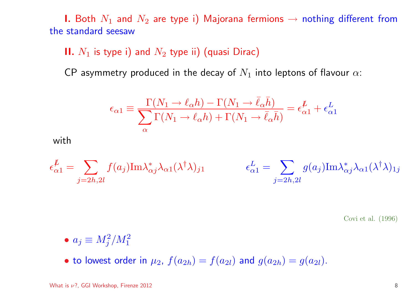1. Both  $N_1$  and  $N_2$  are type i) Majorana fermions  $\rightarrow$  nothing different from the standard seesaw

### II.  $N_1$  is type i) and  $N_2$  type ii) (quasi Dirac)

CP asymmetry produced in the decay of  $N_1$  into leptons of flavour  $\alpha$ :

$$
\epsilon_{\alpha 1} \equiv \frac{\Gamma(N_1 \to \ell_\alpha h) - \Gamma(N_1 \to \bar{\ell}_\alpha \bar{h})}{\sum_{\alpha} \Gamma(N_1 \to \ell_\alpha h) + \Gamma(N_1 \to \bar{\ell}_\alpha \bar{h})} = \epsilon_{\alpha 1}^{\not{L}} + \epsilon_{\alpha 1}^L
$$

with

$$
\epsilon_{\alpha 1}^{\mu} = \sum_{j=2h,2l} f(a_j) \text{Im} \lambda_{\alpha j}^* \lambda_{\alpha 1} (\lambda^{\dagger} \lambda)_{j1} \qquad \epsilon_{\alpha 1}^L = \sum_{j=2h,2l} g(a_j) \text{Im} \lambda_{\alpha j}^* \lambda_{\alpha 1} (\lambda^{\dagger} \lambda)_{1j}
$$

Covi et al. (1996)

- $\bullet a_j \equiv M_i^2/M_1^2$
- to lowest order in  $\mu_2$ ,  $f(a_{2h}) = f(a_{2l})$  and  $g(a_{2h}) = g(a_{2l})$ .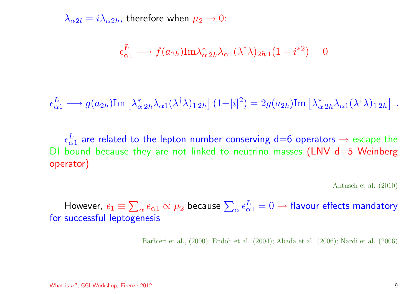$\lambda_{\alpha 2l} = i \lambda_{\alpha 2h}$ , therefore when  $\mu_2 \rightarrow 0$ :

$$
\epsilon_{\alpha 1}^{\not L} \longrightarrow f(a_{2h}) \text{Im} \lambda_{\alpha 2h}^* \lambda_{\alpha 1} (\lambda^\dagger \lambda)_{2h 1} (1 + i^{*2}) = 0
$$

 $\epsilon_{\alpha 1}^L \longrightarrow g(a_{2h}) \text{Im} \left[ \lambda_{\alpha 2h}^* \lambda_{\alpha 1} (\lambda^{\dagger} \lambda)_{1 2h} \right] (1+|i|^2) = 2g(a_{2h}) \text{Im} \left[ \lambda_{\alpha 2h}^* \lambda_{\alpha 1} (\lambda^{\dagger} \lambda)_{1 2h} \right] .$ 

 $\epsilon_{\alpha1}^L$  are related to the lepton number conserving d=6 operators  $\rightarrow$  escape the DI bound because they are not linked to neutrino masses (LNV  $d=5$  Weinberg operator)

Antusch et al. (2010)

However,  $\epsilon_1 \equiv \sum_\alpha \epsilon_{\alpha 1} \propto \mu_2$  because  $\sum_\alpha \epsilon_{\alpha 1}^L = 0 \to$  flavour effects mandatory for successful leptogenesis

Barbieri et al., (2000); Endoh et al. (2004); Abada et al. (2006); Nardi et al. (2006)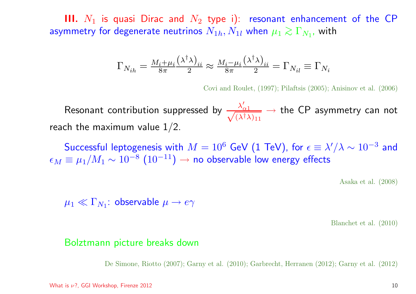**III.**  $N_1$  is quasi Dirac and  $N_2$  type i): resonant enhancement of the CP asymmetry for degenerate neutrinos  $N_{1h}, N_{1l}$  when  $\mu_1 \gtrsim \Gamma_{N_1}$ , with

$$
\Gamma_{N_{ih}} = \frac{M_i + \mu_i \left(\lambda^{\dagger} \lambda\right)_{ii}}{8\pi} \approx \frac{M_i - \mu_i \left(\lambda^{\dagger} \lambda\right)_{ii}}{8\pi} = \Gamma_{N_{il}} \equiv \Gamma_{N_i}
$$

Covi and Roulet, (1997); Pilaftsis (2005); Anisinov et al. (2006)

Resonant contribution suppressed by  $\frac{\lambda'_{\alpha 1}}{\sqrt{(\lambda^\dagger \lambda)_{11}}} \to$  the CP asymmetry can not reach the maximum value  $1/2$ .

Successful leptogenesis with  $M = 10^6$  GeV (1 TeV), for  $\epsilon \equiv \lambda'/\lambda \sim 10^{-3}$  and  $\epsilon_M \equiv \mu_1/M_1 \sim 10^{-8}$   $(10^{-11}) \to$  no observable low energy effects

Asaka et al. (2008)

 $\mu_1 \ll \Gamma_{N_1}$ : observable  $\mu \to e\gamma$ 

Blanchet et al. (2010)

#### Bolztmann picture breaks down

De Simone, Riotto (2007); Garny et al. (2010); Garbrecht, Herranen (2012); Garny et al. (2012)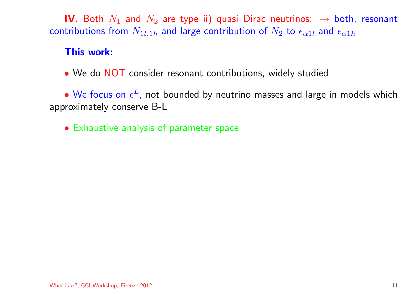IV. Both  $N_1$  and  $N_2$  are type ii) quasi Dirac neutrinos:  $\rightarrow$  both, resonant contributions from  $N_{1l,1h}$  and large contribution of  $N_2$  to  $\epsilon_{\alpha 1l}$  and  $\epsilon_{\alpha 1h}$ 

#### This work:

• We do NOT consider resonant contributions, widely studied

• We focus on  $\epsilon^L$ , not bounded by neutrino masses and large in models which approximately conserve B-L

• Exhaustive analysis of parameter space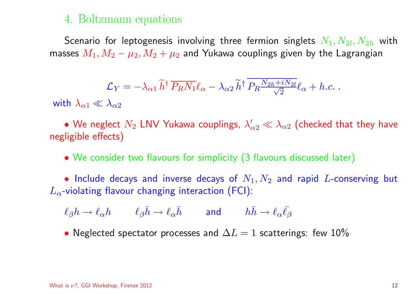## 4. Boltzmann equations

Scenario for leptogenesis involving three fermion singlets  $N_1, N_{2l}, N_{2h}$  with masses  $M_1, M_2 - \mu_2, M_2 + \mu_2$  and Yukawa couplings given by the Lagrangian

$$
\mathcal{L}_Y = -\lambda_{\alpha 1} \tilde{h}^\dagger \, \overline{P_R N_1} \ell_\alpha - \lambda_{\alpha 2} \tilde{h}^\dagger \, \overline{P_R \frac{N_{2h} + i N_{2l}}{\sqrt{2}}} \ell_\alpha + h.c. \; .
$$

with  $\lambda_{\alpha1} \ll \lambda_{\alpha2}$ 

• We neglect  $N_2$  LNV Yukawa couplings,  $\lambda'_{\alpha 2} \ll \lambda_{\alpha 2}$  (checked that they have negligible effects)

• We consider two flavours for simplicity (3 flavours discussed later)

• Include decays and inverse decays of  $N_1, N_2$  and rapid L-conserving but  $L_{\alpha}$ -violating flavour changing interaction (FCI):

 $\ell_{\beta}h \to \ell_{\alpha}h \qquad \ell_{\beta}\bar{h} \to \ell_{\alpha}\bar{h} \qquad \text{and} \qquad h\bar{h} \to \ell_{\alpha}\bar{\ell}_{\beta}$ 

• Neglected spectator processes and  $\Delta L = 1$  scatterings: few 10%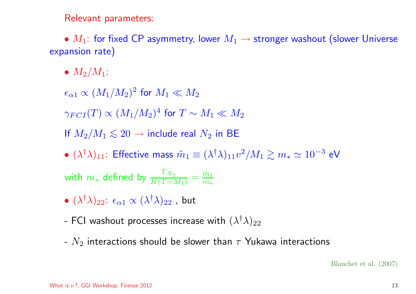Relevant parameters:

•  $M_1$ : for fixed CP asymmetry, lower  $M_1 \rightarrow$  stronger washout (slower Universe expansion rate)

•  $M_2/M_1$ :

 $\epsilon_{\alpha1} \propto (M_1/M_2)^2$  for  $M_1 \ll M_2$ 

 $\gamma_{FCI}(T) \propto (M_1/M_2)^4$  for  $T \sim M_1 \ll M_2$ 

If  $M_2/M_1 \lesssim 20 \rightarrow$  include real  $N_2$  in BE

•  $(\lambda^{\dagger}\lambda)_{11}$ : Effective mass  $\tilde{m}_1 \equiv (\lambda^{\dagger}\lambda)_{11}v^2/M_1 \gtrsim m_* \simeq 10^{-3}$  eV

with  $m_*$  defined by  $\frac{\Gamma_{N_1}}{H(T=M_1)} = \frac{\tilde{m}_1}{m}$ 

- $(\lambda^{\dagger}\lambda)_{22}$ :  $\epsilon_{\alpha1} \propto (\lambda^{\dagger}\lambda)_{22}$ , but
- FCI washout processes increase with  $(\lambda^{\dagger}\lambda)_{22}$
- $N_2$  interactions should be slower than  $\tau$  Yukawa interactions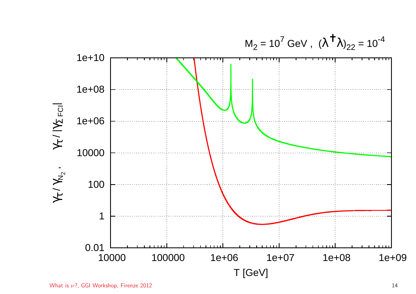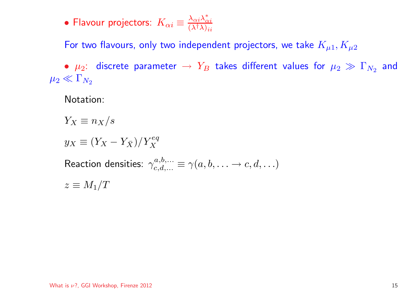• Flavour projectors:  $K_{\alpha i} \equiv \frac{\lambda_{\alpha i} \lambda_{\alpha i}^*}{(\lambda^\dagger \lambda)_{ii}}$ 

For two flavours, only two independent projectors, we take  $K_{\mu 1}, K_{\mu 2}$ 

•  $\mu_2$ : discrete parameter  $\rightarrow Y_B$  takes different values for  $\mu_2 \gg \Gamma_{N_2}$  and  $\mu_2 \ll \Gamma_{N_2}$ 

Notation:

 $Y_X \equiv n_X/s$ 

 $y_X \equiv (Y_X - Y_{\overline{X}})/Y_X^{eq}$ 

Reaction densities:  $\gamma_{c,d}^{a,b,...} \equiv \gamma(a,b,\ldots \to c,d,\ldots)$ 

 $z \equiv M_1/T$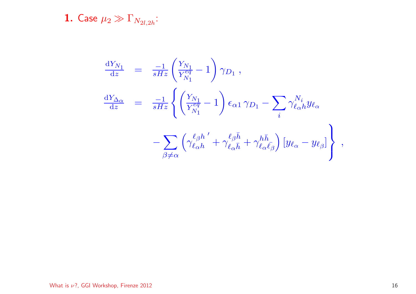**1.** Case  $\mu_2 \gg \Gamma_{N_{2l,2h}}$ :

$$
\begin{array}{rcl} \frac{\mathrm{d} Y_{N_1}}{\mathrm{d} z} & = & \frac{-1}{sHz} \left( \frac{Y_{N_1}}{Y_{N_1}^{eq}} - 1 \right) \gamma_{D_1} \ , \\ \\ \frac{\mathrm{d} Y_{\Delta \alpha}}{\mathrm{d} z} & = & \frac{-1}{sHz} \left\{ \left( \frac{Y_{N_1}}{Y_{N_1}^{eq}} - 1 \right) \epsilon_{\alpha 1} \, \gamma_{D_1} - \sum_i \gamma_{\ell_{\alpha}h}^{N_i} y_{\ell_{\alpha}} \right. \\ \\ & & & \left. - \sum_{\beta \neq \alpha} \left( \gamma_{\ell_{\alpha}h}^{\ell_{\beta}h} + \gamma_{\ell_{\alpha}\bar{h}}^{\ell_{\beta}\bar{h}} + \gamma_{\ell_{\alpha}\bar{\ell}_{\beta}}^{h \bar{h}} \right) \left[ y_{\ell_{\alpha}} - y_{\ell_{\beta}} \right] \right\} \ , \end{array}
$$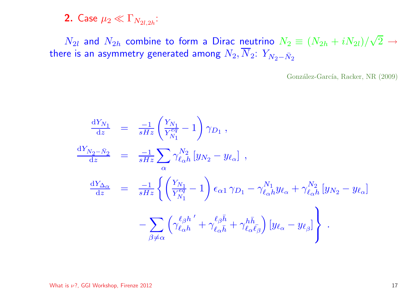## 2. Case  $\mu_2 \ll \Gamma_{N_{2l,2h}}$ :

 $N_{2l}$  and  $N_{2h}$  combine to form a Dirac neutrino  $N_2 \equiv (N_{2h} + iN_{2l})/\sqrt{2} \rightarrow$ there is an asymmetry generated among  $N_2, \overline{N}_2$ :  $Y_{N_2-\bar{N}_2}$ 

González-García, Racker, NR (2009)

$$
\frac{dY_{N_1}}{dz} = \frac{-1}{sHz} \left( \frac{Y_{N_1}}{Y_{N_1}^{eq}} - 1 \right) \gamma_{D_1} ,
$$
\n
$$
\frac{dY_{N_2 - \bar{N}_2}}{dz} = \frac{-1}{sHz} \sum_{\alpha} \gamma_{\ell_{\alpha}h}^{N_2} \left[ y_{N_2} - y_{\ell_{\alpha}} \right] ,
$$
\n
$$
\frac{dY_{\Delta_{\alpha}}}{dz} = \frac{-1}{sHz} \left\{ \left( \frac{Y_{N_1}}{Y_{N_1}^{eq}} - 1 \right) \epsilon_{\alpha 1} \gamma_{D_1} - \gamma_{\ell_{\alpha}h}^{N_1} y_{\ell_{\alpha}} + \gamma_{\ell_{\alpha}h}^{N_2} \left[ y_{N_2} - y_{\ell_{\alpha}} \right] \right.
$$
\n
$$
- \sum_{\beta \neq \alpha} \left( \gamma_{\ell_{\alpha}h}^{\ell_{\beta}h'} + \gamma_{\ell_{\alpha}\bar{h}}^{\ell_{\beta}\bar{h}} + \gamma_{\ell_{\alpha}\bar{\ell}_{\beta}}^{\bar{h}} \right) \left[ y_{\ell_{\alpha}} - y_{\ell_{\beta}} \right] \right\} .
$$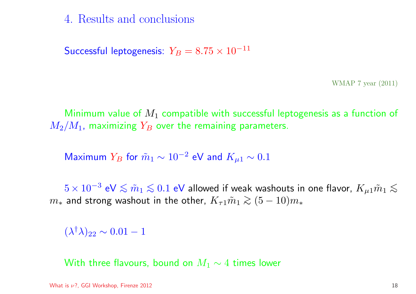4. Results and conclusions

Successful leptogenesis:  $Y_B = 8.75 \times 10^{-11}$ 

WMAP <sup>7</sup> year (2011)

Minimum value of  $M_1$  compatible with successful leptogenesis as a function of  $M_2/M_1$ , maximizing  $Y_B$  over the remaining parameters.

Maximum  $Y_B$  for  $\tilde{m}_1 \sim 10^{-2}$  eV and  $K_{\mu 1} \sim 0.1$ 

 $5 \times 10^{-3}$  eV  $\lesssim \tilde{m}_1 \lesssim 0.1$  eV allowed if weak washouts in one flavor,  $K_{\mu 1} \tilde{m}_1 \lesssim$  $m<sub>∗</sub>$  and strong washout in the other,  $K<sub>τ</sub>1m<sub>1</sub> ≥ (5 − 10)m<sub>∗</sub>$ 

 $(\lambda^{\dagger}\lambda)_{22} \sim 0.01 - 1$ 

With three flavours, bound on  $M_1 \sim 4$  times lower

What is  $\nu$ ?, GGI Workshop, Firenze 2012 18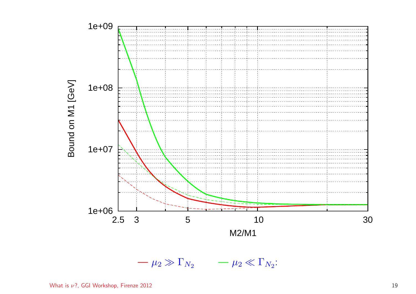

 $-\mu_2 \gg \Gamma_{N_2}$   $-\mu_2 \ll \Gamma_{N_2}$ :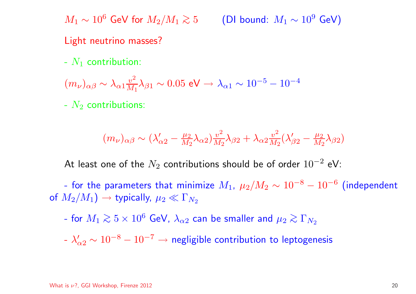$M_1 \sim 10^6$  GeV for  $M_2/M_1 \gtrsim 5$  (DI bound:  $M_1 \sim 10^9$  GeV)

#### Light neutrino masses?

-  $N_1$  contribution:

$$
(m_{\nu})_{\alpha\beta} \sim \lambda_{\alpha1} \frac{v^2}{M_1} \lambda_{\beta1} \sim 0.05 \text{ eV} \to \lambda_{\alpha1} \sim 10^{-5} - 10^{-4}
$$

-  $N_2$  contributions:

$$
(m_{\nu})_{\alpha\beta} \sim (\lambda'_{\alpha 2} - \frac{\mu_2}{M_2} \lambda_{\alpha 2}) \frac{v^2}{M_2} \lambda_{\beta 2} + \lambda_{\alpha 2} \frac{v^2}{M_2} (\lambda'_{\beta 2} - \frac{\mu_2}{M_2} \lambda_{\beta 2})
$$

At least one of the  $N_2$  contributions should be of order  $10^{-2}$  eV:

- for the parameters that minimize  $M_1$ ,  $\mu_2/M_2 \sim 10^{-8} - 10^{-6}$  (independent of  $M_2/M_1$ )  $\rightarrow$  typically,  $\mu_2 \ll \Gamma_{N_2}$ 

- for  $M_1 \gtrsim 5 \times 10^6$  GeV,  $\lambda_{\alpha 2}$  can be smaller and  $\mu_2 \gtrsim \Gamma_{N_2}$ 

 $\lambda'_{\alpha 2} \sim 10^{-8} - 10^{-7} \rightarrow$  negligible contribution to leptogenesis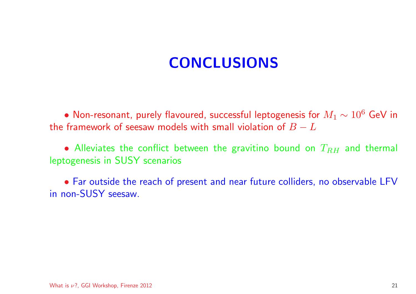# CONCLUSIONS

• Non-resonant, purely flavoured, successful leptogenesis for  $M_1\sim 10^6$  GeV in the framework of seesaw models with small violation of  $B - L$ 

• Alleviates the conflict between the gravitino bound on  $T_{RH}$  and thermal leptogenesis in SUSY scenarios

• Far outside the reach of present and near future colliders, no observable LFV in non-SUSY seesaw.